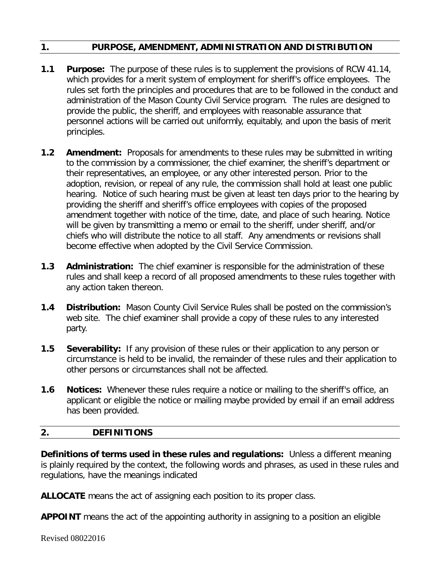## **1. PURPOSE, AMENDMENT, ADMINISTRATION AND DISTRIBUTION**

- **1.1 Purpose:** The purpose of these rules is to supplement the provisions of RCW 41.14, which provides for a merit system of employment for sheriff's office employees. The rules set forth the principles and procedures that are to be followed in the conduct and administration of the Mason County Civil Service program. The rules are designed to provide the public, the sheriff, and employees with reasonable assurance that personnel actions will be carried out uniformly, equitably, and upon the basis of merit principles.
- **1.2 Amendment:** Proposals for amendments to these rules may be submitted in writing to the commission by a commissioner, the chief examiner, the sheriff's department or their representatives, an employee, or any other interested person. Prior to the adoption, revision, or repeal of any rule, the commission shall hold at least one public hearing. Notice of such hearing must be given at least ten days prior to the hearing by providing the sheriff and sheriff's office employees with copies of the proposed amendment together with notice of the time, date, and place of such hearing. Notice will be given by transmitting a memo or email to the sheriff, under sheriff, and/or chiefs who will distribute the notice to all staff. Any amendments or revisions shall become effective when adopted by the Civil Service Commission.
- **1.3 Administration:** The chief examiner is responsible for the administration of these rules and shall keep a record of all proposed amendments to these rules together with any action taken thereon.
- **1.4 Distribution:** Mason County Civil Service Rules shall be posted on the commission's web site. The chief examiner shall provide a copy of these rules to any interested party.
- **1.5 Severability:** If any provision of these rules or their application to any person or circumstance is held to be invalid, the remainder of these rules and their application to other persons or circumstances shall not be affected.
- **1.6 Notices:** Whenever these rules require a notice or mailing to the sheriff's office, an applicant or eligible the notice or mailing maybe provided by email if an email address has been provided.

## **2. DEFINITIONS**

**Definitions of terms used in these rules and regulations:** Unless a different meaning is plainly required by the context, the following words and phrases, as used in these rules and regulations, have the meanings indicated

**ALLOCATE** means the act of assigning each position to its proper class.

**APPOINT** means the act of the appointing authority in assigning to a position an eligible

Revised 08022016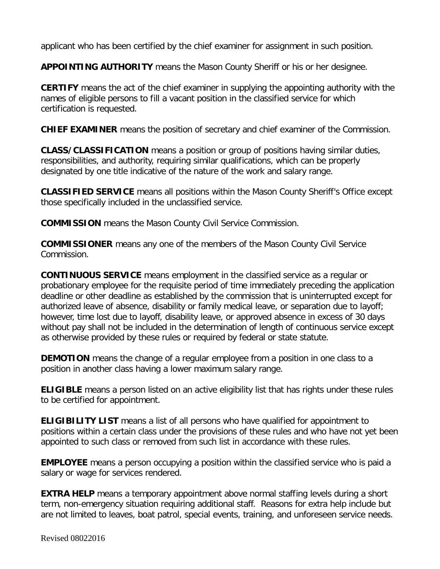applicant who has been certified by the chief examiner for assignment in such position.

**APPOINTING AUTHORITY** means the Mason County Sheriff or his or her designee.

**CERTIFY** means the act of the chief examiner in supplying the appointing authority with the names of eligible persons to fill a vacant position in the classified service for which certification is requested.

**CHIEF EXAMINER** means the position of secretary and chief examiner of the Commission.

**CLASS/CLASSIFICATION** means a position or group of positions having similar duties, responsibilities, and authority, requiring similar qualifications, which can be properly designated by one title indicative of the nature of the work and salary range.

**CLASSIFIED SERVICE** means all positions within the Mason County Sheriff's Office except those specifically included in the unclassified service.

**COMMISSION** means the Mason County Civil Service Commission.

**COMMISSIONER** means any one of the members of the Mason County Civil Service Commission.

**CONTINUOUS SERVICE** means employment in the classified service as a regular or probationary employee for the requisite period of time immediately preceding the application deadline or other deadline as established by the commission that is uninterrupted except for authorized leave of absence, disability or family medical leave, or separation due to layoff; however, time lost due to layoff, disability leave, or approved absence in excess of 30 days without pay shall not be included in the determination of length of continuous service except as otherwise provided by these rules or required by federal or state statute.

**DEMOTION** means the change of a regular employee from a position in one class to a position in another class having a lower maximum salary range.

**ELIGIBLE** means a person listed on an active eligibility list that has rights under these rules to be certified for appointment.

**ELIGIBILITY LIST** means a list of all persons who have qualified for appointment to positions within a certain class under the provisions of these rules and who have not yet been appointed to such class or removed from such list in accordance with these rules.

**EMPLOYEE** means a person occupying a position within the classified service who is paid a salary or wage for services rendered.

**EXTRA HELP** means a temporary appointment above normal staffing levels during a short term, non-emergency situation requiring additional staff. Reasons for extra help include but are not limited to leaves, boat patrol, special events, training, and unforeseen service needs.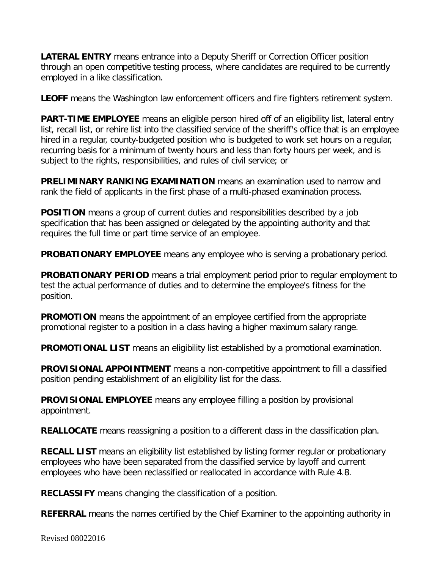**LATERAL ENTRY** means entrance into a Deputy Sheriff or Correction Officer position through an open competitive testing process, where candidates are required to be currently employed in a like classification.

**LEOFF** means the Washington law enforcement officers and fire fighters retirement system.

**PART-TIME EMPLOYEE** means an eligible person hired off of an eligibility list, lateral entry list, recall list, or rehire list into the classified service of the sheriff's office that is an employee hired in a regular, county-budgeted position who is budgeted to work set hours on a regular, recurring basis for a minimum of twenty hours and less than forty hours per week, and is subject to the rights, responsibilities, and rules of civil service; or

**PRELIMINARY RANKING EXAMINATION** means an examination used to narrow and rank the field of applicants in the first phase of a multi-phased examination process.

**POSITION** means a group of current duties and responsibilities described by a job specification that has been assigned or delegated by the appointing authority and that requires the full time or part time service of an employee.

**PROBATIONARY EMPLOYEE** means any employee who is serving a probationary period.

**PROBATIONARY PERIOD** means a trial employment period prior to regular employment to test the actual performance of duties and to determine the employee's fitness for the position.

**PROMOTION** means the appointment of an employee certified from the appropriate promotional register to a position in a class having a higher maximum salary range.

**PROMOTIONAL LIST** means an eligibility list established by a promotional examination.

**PROVISIONAL APPOINTMENT** means a non-competitive appointment to fill a classified position pending establishment of an eligibility list for the class.

**PROVISIONAL EMPLOYEE** means any employee filling a position by provisional appointment.

**REALLOCATE** means reassigning a position to a different class in the classification plan.

**RECALL LIST** means an eligibility list established by listing former regular or probationary employees who have been separated from the classified service by layoff and current employees who have been reclassified or reallocated in accordance with Rule 4.8.

**RECLASSIFY** means changing the classification of a position.

**REFERRAL** means the names certified by the Chief Examiner to the appointing authority in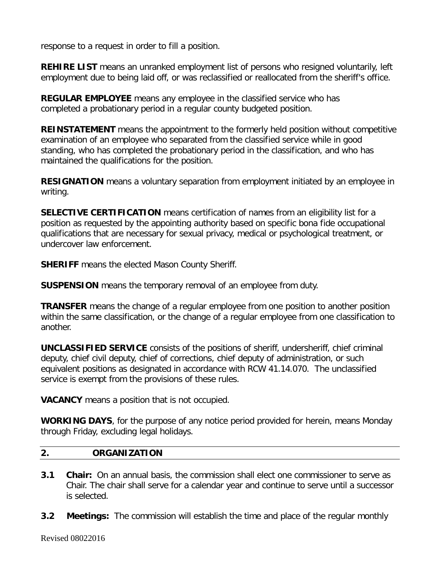response to a request in order to fill a position.

**REHIRE LIST** means an unranked employment list of persons who resigned voluntarily, left employment due to being laid off, or was reclassified or reallocated from the sheriff's office.

**REGULAR EMPLOYEE** means any employee in the classified service who has completed a probationary period in a regular county budgeted position.

**REINSTATEMENT** means the appointment to the formerly held position without competitive examination of an employee who separated from the classified service while in good standing, who has completed the probationary period in the classification, and who has maintained the qualifications for the position.

**RESIGNATION** means a voluntary separation from employment initiated by an employee in writing.

**SELECTIVE CERTIFICATION** means certification of names from an eligibility list for a position as requested by the appointing authority based on specific bona fide occupational qualifications that are necessary for sexual privacy, medical or psychological treatment, or undercover law enforcement.

**SHERIFF** means the elected Mason County Sheriff.

**SUSPENSION** means the temporary removal of an employee from duty.

**TRANSFER** means the change of a regular employee from one position to another position within the same classification, or the change of a regular employee from one classification to another.

**UNCLASSIFIED SERVICE** consists of the positions of sheriff, undersheriff, chief criminal deputy, chief civil deputy, chief of corrections, chief deputy of administration, or such equivalent positions as designated in accordance with RCW 41.14.070. The unclassified service is exempt from the provisions of these rules.

**VACANCY** means a position that is not occupied.

**WORKING DAYS**, for the purpose of any notice period provided for herein, means Monday through Friday, excluding legal holidays.

#### **2. ORGANIZATION**

- **3.1 Chair:** On an annual basis, the commission shall elect one commissioner to serve as Chair. The chair shall serve for a calendar year and continue to serve until a successor is selected.
- **3.2 Meetings:** The commission will establish the time and place of the regular monthly

Revised 08022016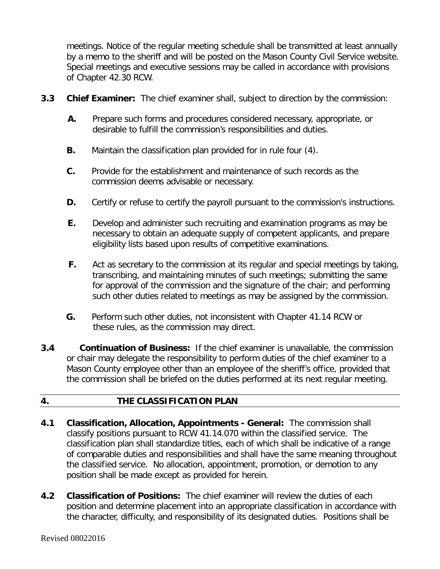meetings. Notice of the regular meeting schedule shall be transmitted at least annually by a memo to the sheriff and will be posted on the Mason County Civil Service website. Special meetings and executive sessions may be called in accordance with provisions of Chapter 42.30 RCW.

- **3.3 Chief Examiner:** The chief examiner shall, subject to direction by the commission:
	- **A.** Prepare such forms and procedures considered necessary, appropriate, or desirable to fulfill the commission's responsibilities and duties.
	- **B.** Maintain the classification plan provided for in rule four (4).
	- **C.** Provide for the establishment and maintenance of such records as the commission deems advisable or necessary.
	- **D.** Certify or refuse to certify the payroll pursuant to the commission's instructions.
	- **E.** Develop and administer such recruiting and examination programs as may be necessary to obtain an adequate supply of competent applicants, and prepare eligibility lists based upon results of competitive examinations.
	- **F.** Act as secretary to the commission at its regular and special meetings by taking, transcribing, and maintaining minutes of such meetings; submitting the same for approval of the commission and the signature of the chair; and performing such other duties related to meetings as may be assigned by the commission.
	- **G.** Perform such other duties, not inconsistent with Chapter 41.14 RCW or these rules, as the commission may direct.
- **3.4 Continuation of Business:** If the chief examiner is unavailable, the commission or chair may delegate the responsibility to perform duties of the chief examiner to a Mason County employee other than an employee of the sheriff's office, provided that the commission shall be briefed on the duties performed at its next regular meeting.

#### **4. THE CLASSIFICATION PLAN**

- **4.1 Classification, Allocation, Appointments - General:** The commission shall classify positions pursuant to RCW 41.14.070 within the classified service. The classification plan shall standardize titles, each of which shall be indicative of a range of comparable duties and responsibilities and shall have the same meaning throughout the classified service. No allocation, appointment, promotion, or demotion to any position shall be made except as provided for herein.
- **4.2 Classification of Positions:** The chief examiner will review the duties of each position and determine placement into an appropriate classification in accordance with the character, difficulty, and responsibility of its designated duties. Positions shall be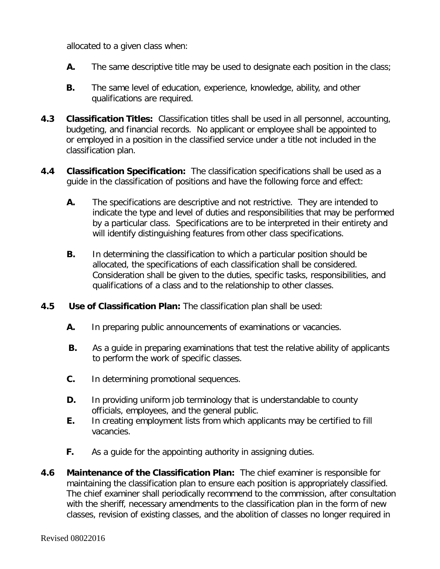allocated to a given class when:

- **A.** The same descriptive title may be used to designate each position in the class;
- **B.** The same level of education, experience, knowledge, ability, and other qualifications are required.
- **4.3 Classification Titles:** Classification titles shall be used in all personnel, accounting, budgeting, and financial records. No applicant or employee shall be appointed to or employed in a position in the classified service under a title not included in the classification plan.
- **4.4 Classification Specification:** The classification specifications shall be used as a guide in the classification of positions and have the following force and effect:
	- **A.** The specifications are descriptive and not restrictive. They are intended to indicate the type and level of duties and responsibilities that may be performed by a particular class. Specifications are to be interpreted in their entirety and will identify distinguishing features from other class specifications.
	- **B.** In determining the classification to which a particular position should be allocated, the specifications of each classification shall be considered. Consideration shall be given to the duties, specific tasks, responsibilities, and qualifications of a class and to the relationship to other classes.
- **4.5 Use of Classification Plan:** The classification plan shall be used:
	- **A.** In preparing public announcements of examinations or vacancies.
	- **B.** As a quide in preparing examinations that test the relative ability of applicants to perform the work of specific classes.
	- **C.** In determining promotional sequences.
	- **D.** In providing uniform job terminology that is understandable to county officials, employees, and the general public.
	- **E.** In creating employment lists from which applicants may be certified to fill vacancies.
	- **F.** As a quide for the appointing authority in assigning duties.
- **4.6 Maintenance of the Classification Plan:** The chief examiner is responsible for maintaining the classification plan to ensure each position is appropriately classified. The chief examiner shall periodically recommend to the commission, after consultation with the sheriff, necessary amendments to the classification plan in the form of new classes, revision of existing classes, and the abolition of classes no longer required in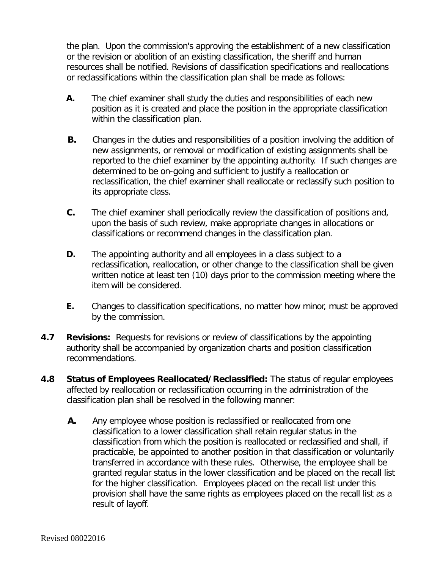the plan. Upon the commission's approving the establishment of a new classification or the revision or abolition of an existing classification, the sheriff and human resources shall be notified. Revisions of classification specifications and reallocations or reclassifications within the classification plan shall be made as follows:

- **A.** The chief examiner shall study the duties and responsibilities of each new position as it is created and place the position in the appropriate classification within the classification plan.
- **B.** Changes in the duties and responsibilities of a position involving the addition of new assignments, or removal or modification of existing assignments shall be reported to the chief examiner by the appointing authority. If such changes are determined to be on-going and sufficient to justify a reallocation or reclassification, the chief examiner shall reallocate or reclassify such position to its appropriate class.
- **C.** The chief examiner shall periodically review the classification of positions and, upon the basis of such review, make appropriate changes in allocations or classifications or recommend changes in the classification plan.
- **D.** The appointing authority and all employees in a class subject to a reclassification, reallocation, or other change to the classification shall be given written notice at least ten (10) days prior to the commission meeting where the item will be considered.
- **E.** Changes to classification specifications, no matter how minor, must be approved by the commission.
- **4.7 Revisions:** Requests for revisions or review of classifications by the appointing authority shall be accompanied by organization charts and position classification recommendations.
- **4.8 Status of Employees Reallocated/Reclassified:** The status of regular employees affected by reallocation or reclassification occurring in the administration of the classification plan shall be resolved in the following manner:
	- **A.** Any employee whose position is reclassified or reallocated from one classification to a lower classification shall retain regular status in the classification from which the position is reallocated or reclassified and shall, if practicable, be appointed to another position in that classification or voluntarily transferred in accordance with these rules. Otherwise, the employee shall be granted regular status in the lower classification and be placed on the recall list for the higher classification. Employees placed on the recall list under this provision shall have the same rights as employees placed on the recall list as a result of layoff.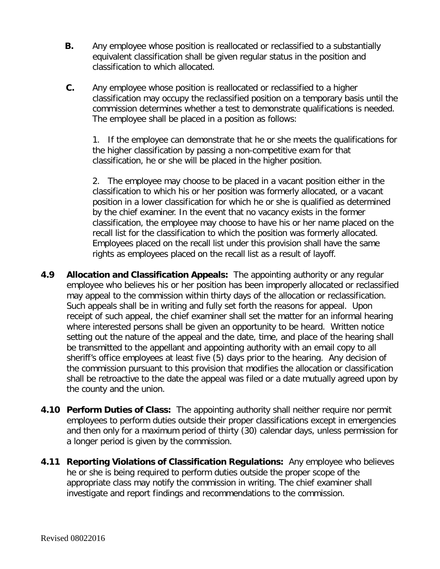- **B.** Any employee whose position is reallocated or reclassified to a substantially equivalent classification shall be given regular status in the position and classification to which allocated.
- **C.** Any employee whose position is reallocated or reclassified to a higher classification may occupy the reclassified position on a temporary basis until the commission determines whether a test to demonstrate qualifications is needed. The employee shall be placed in a position as follows:

1. If the employee can demonstrate that he or she meets the qualifications for the higher classification by passing a non-competitive exam for that classification, he or she will be placed in the higher position.

2. The employee may choose to be placed in a vacant position either in the classification to which his or her position was formerly allocated, or a vacant position in a lower classification for which he or she is qualified as determined by the chief examiner. In the event that no vacancy exists in the former classification, the employee may choose to have his or her name placed on the recall list for the classification to which the position was formerly allocated. Employees placed on the recall list under this provision shall have the same rights as employees placed on the recall list as a result of layoff.

- **4.9 Allocation and Classification Appeals:** The appointing authority or any regular employee who believes his or her position has been improperly allocated or reclassified may appeal to the commission within thirty days of the allocation or reclassification. Such appeals shall be in writing and fully set forth the reasons for appeal. Upon receipt of such appeal, the chief examiner shall set the matter for an informal hearing where interested persons shall be given an opportunity to be heard. Written notice setting out the nature of the appeal and the date, time, and place of the hearing shall be transmitted to the appellant and appointing authority with an email copy to all sheriff's office employees at least five (5) days prior to the hearing. Any decision of the commission pursuant to this provision that modifies the allocation or classification shall be retroactive to the date the appeal was filed or a date mutually agreed upon by the county and the union.
- **4.10 Perform Duties of Class:** The appointing authority shall neither require nor permit employees to perform duties outside their proper classifications except in emergencies and then only for a maximum period of thirty (30) calendar days, unless permission for a longer period is given by the commission.
- **4.11 Reporting Violations of Classification Regulations:** Any employee who believes he or she is being required to perform duties outside the proper scope of the appropriate class may notify the commission in writing. The chief examiner shall investigate and report findings and recommendations to the commission.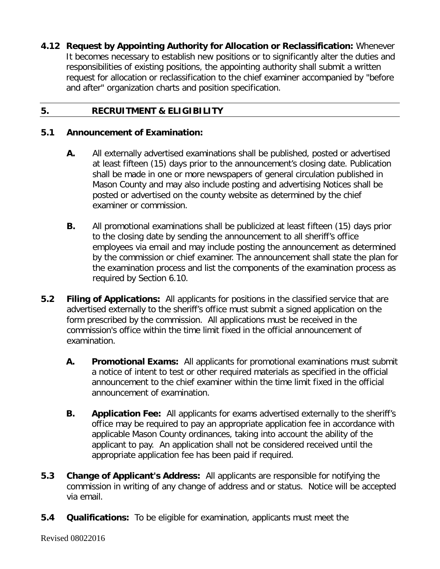**4.12 Request by Appointing Authority for Allocation or Reclassification:** Whenever It becomes necessary to establish new positions or to significantly alter the duties and responsibilities of existing positions, the appointing authority shall submit a written request for allocation or reclassification to the chief examiner accompanied by "before and after" organization charts and position specification.

## **5. RECRUITMENT & ELIGIBILITY**

#### **5.1 Announcement of Examination:**

- **A.** All externally advertised examinations shall be published, posted or advertised at least fifteen (15) days prior to the announcement's closing date. Publication shall be made in one or more newspapers of general circulation published in Mason County and may also include posting and advertising Notices shall be posted or advertised on the county website as determined by the chief examiner or commission.
- **B.** All promotional examinations shall be publicized at least fifteen (15) days prior to the closing date by sending the announcement to all sheriff's office employees via email and may include posting the announcement as determined by the commission or chief examiner. The announcement shall state the plan for the examination process and list the components of the examination process as required by Section 6.10.
- **5.2 Filing of Applications:** All applicants for positions in the classified service that are advertised externally to the sheriff's office must submit a signed application on the form prescribed by the commission. All applications must be received in the commission's office within the time limit fixed in the official announcement of examination.
	- **A. Promotional Exams:** All applicants for promotional examinations must submit a notice of intent to test or other required materials as specified in the official announcement to the chief examiner within the time limit fixed in the official announcement of examination.
	- **B. Application Fee:** All applicants for exams advertised externally to the sheriff's office may be required to pay an appropriate application fee in accordance with applicable Mason County ordinances, taking into account the ability of the applicant to pay. An application shall not be considered received until the appropriate application fee has been paid if required.
- **5.3 Change of Applicant's Address:** All applicants are responsible for notifying the commission in writing of any change of address and or status. Notice will be accepted via email.
- **5.4 Qualifications:** To be eligible for examination, applicants must meet the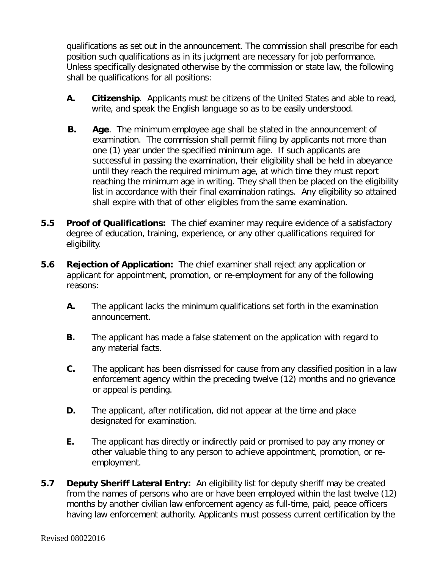qualifications as set out in the announcement. The commission shall prescribe for each position such qualifications as in its judgment are necessary for job performance. Unless specifically designated otherwise by the commission or state law, the following shall be qualifications for all positions:

- **A. Citizenship**. Applicants must be citizens of the United States and able to read, write, and speak the English language so as to be easily understood.
- **B. Age**. The minimum employee age shall be stated in the announcement of examination. The commission shall permit filing by applicants not more than one (1) year under the specified minimum age. If such applicants are successful in passing the examination, their eligibility shall be held in abeyance until they reach the required minimum age, at which time they must report reaching the minimum age in writing. They shall then be placed on the eligibility list in accordance with their final examination ratings. Any eligibility so attained shall expire with that of other eligibles from the same examination.
- **5.5 Proof of Qualifications:** The chief examiner may require evidence of a satisfactory degree of education, training, experience, or any other qualifications required for eligibility.
- **5.6 Rejection of Application:** The chief examiner shall reject any application or applicant for appointment, promotion, or re-employment for any of the following reasons:
	- **A.** The applicant lacks the minimum qualifications set forth in the examination announcement.
	- **B.** The applicant has made a false statement on the application with regard to any material facts.
	- **C.** The applicant has been dismissed for cause from any classified position in a law enforcement agency within the preceding twelve (12) months and no grievance or appeal is pending.
	- **D.** The applicant, after notification, did not appear at the time and place designated for examination.
	- **E.** The applicant has directly or indirectly paid or promised to pay any money or other valuable thing to any person to achieve appointment, promotion, or reemployment.
- **5.7 Deputy Sheriff Lateral Entry:** An eligibility list for deputy sheriff may be created from the names of persons who are or have been employed within the last twelve (12) months by another civilian law enforcement agency as full-time, paid, peace officers having law enforcement authority. Applicants must possess current certification by the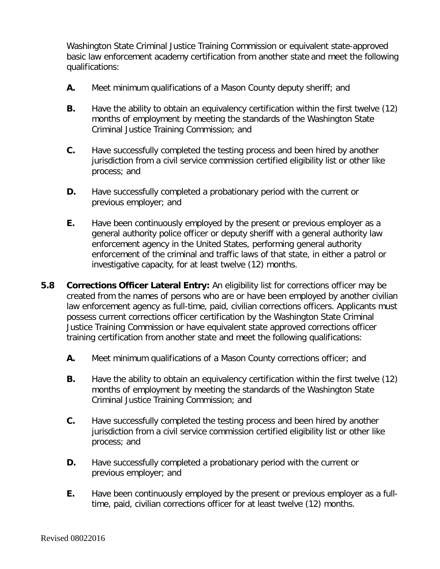Washington State Criminal Justice Training Commission or equivalent state-approved basic law enforcement academy certification from another state and meet the following qualifications:

- **A.** Meet minimum qualifications of a Mason County deputy sheriff; and
- **B.** Have the ability to obtain an equivalency certification within the first twelve (12) months of employment by meeting the standards of the Washington State Criminal Justice Training Commission; and
- **C.** Have successfully completed the testing process and been hired by another jurisdiction from a civil service commission certified eligibility list or other like process; and
- **D.** Have successfully completed a probationary period with the current or previous employer; and
- **E.** Have been continuously employed by the present or previous employer as a general authority police officer or deputy sheriff with a general authority law enforcement agency in the United States, performing general authority enforcement of the criminal and traffic laws of that state, in either a patrol or investigative capacity, for at least twelve (12) months.
- **5.8 Corrections Officer Lateral Entry:** An eligibility list for corrections officer may be created from the names of persons who are or have been employed by another civilian law enforcement agency as full-time, paid, civilian corrections officers. Applicants must possess current corrections officer certification by the Washington State Criminal Justice Training Commission or have equivalent state approved corrections officer training certification from another state and meet the following qualifications:
	- **A.** Meet minimum qualifications of a Mason County corrections officer; and
	- **B.** Have the ability to obtain an equivalency certification within the first twelve (12) months of employment by meeting the standards of the Washington State Criminal Justice Training Commission; and
	- **C.** Have successfully completed the testing process and been hired by another jurisdiction from a civil service commission certified eligibility list or other like process; and
	- **D.** Have successfully completed a probationary period with the current or previous employer; and
	- **E.** Have been continuously employed by the present or previous employer as a fulltime, paid, civilian corrections officer for at least twelve (12) months.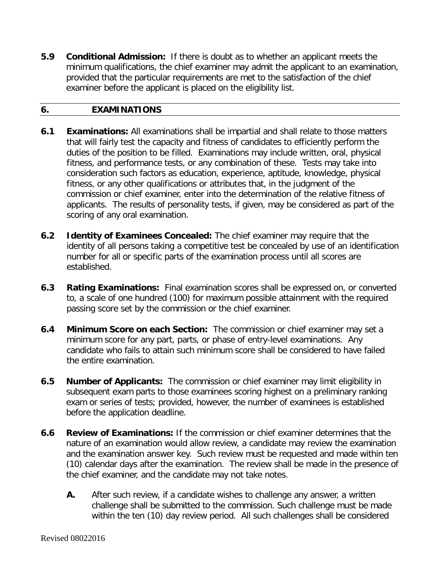**5.9 Conditional Admission:** If there is doubt as to whether an applicant meets the minimum qualifications, the chief examiner may admit the applicant to an examination, provided that the particular requirements are met to the satisfaction of the chief examiner before the applicant is placed on the eligibility list.

### **6. EXAMINATIONS**

- **6.1 Examinations:** All examinations shall be impartial and shall relate to those matters that will fairly test the capacity and fitness of candidates to efficiently perform the duties of the position to be filled. Examinations may include written, oral, physical fitness, and performance tests, or any combination of these. Tests may take into consideration such factors as education, experience, aptitude, knowledge, physical fitness, or any other qualifications or attributes that, in the judgment of the commission or chief examiner, enter into the determination of the relative fitness of applicants. The results of personality tests, if given, may be considered as part of the scoring of any oral examination.
- **6.2 Identity of Examinees Concealed:** The chief examiner may require that the identity of all persons taking a competitive test be concealed by use of an identification number for all or specific parts of the examination process until all scores are established.
- **6.3 Rating Examinations:** Final examination scores shall be expressed on, or converted to, a scale of one hundred (100) for maximum possible attainment with the required passing score set by the commission or the chief examiner.
- **6.4 Minimum Score on each Section:** The commission or chief examiner may set a minimum score for any part, parts, or phase of entry-level examinations. Any candidate who fails to attain such minimum score shall be considered to have failed the entire examination.
- **6.5 Number of Applicants:** The commission or chief examiner may limit eligibility in subsequent exam parts to those examinees scoring highest on a preliminary ranking exam or series of tests; provided, however, the number of examinees is established before the application deadline.
- **6.6 Review of Examinations:** If the commission or chief examiner determines that the nature of an examination would allow review, a candidate may review the examination and the examination answer key. Such review must be requested and made within ten (10) calendar days after the examination. The review shall be made in the presence of the chief examiner, and the candidate may not take notes.
	- **A.** After such review, if a candidate wishes to challenge any answer, a written challenge shall be submitted to the commission. Such challenge must be made within the ten (10) day review period. All such challenges shall be considered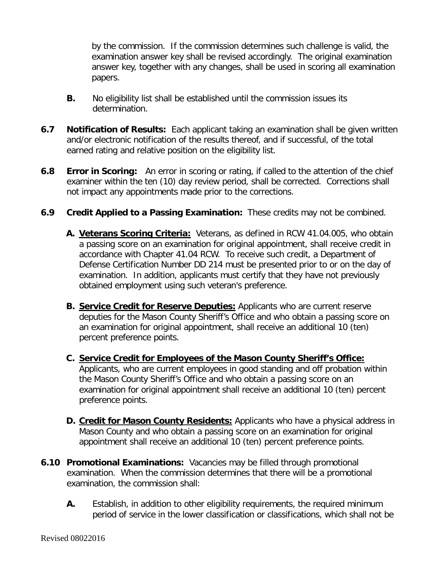by the commission. If the commission determines such challenge is valid, the examination answer key shall be revised accordingly. The original examination answer key, together with any changes, shall be used in scoring all examination papers.

- **B.** No eligibility list shall be established until the commission issues its determination.
- **6.7 Notification of Results:** Each applicant taking an examination shall be given written and/or electronic notification of the results thereof, and if successful, of the total earned rating and relative position on the eligibility list.
- **6.8 Error in Scoring:** An error in scoring or rating, if called to the attention of the chief examiner within the ten (10) day review period, shall be corrected. Corrections shall not impact any appointments made prior to the corrections.
- **6.9 Credit Applied to a Passing Examination:** These credits may not be combined.
	- **A. Veterans Scoring Criteria:** Veterans, as defined in RCW 41.04.005, who obtain a passing score on an examination for original appointment, shall receive credit in accordance with Chapter 41.04 RCW. To receive such credit, a Department of Defense Certification Number DD 214 must be presented prior to or on the day of examination. In addition, applicants must certify that they have not previously obtained employment using such veteran's preference.
	- **B. Service Credit for Reserve Deputies:** Applicants who are current reserve deputies for the Mason County Sheriff's Office and who obtain a passing score on an examination for original appointment, shall receive an additional 10 (ten) percent preference points.
	- **C. Service Credit for Employees of the Mason County Sheriff's Office:** Applicants, who are current employees in good standing and off probation within the Mason County Sheriff's Office and who obtain a passing score on an examination for original appointment shall receive an additional 10 (ten) percent preference points.
	- **D. Credit for Mason County Residents:** Applicants who have a physical address in Mason County and who obtain a passing score on an examination for original appointment shall receive an additional 10 (ten) percent preference points.
- **6.10 Promotional Examinations:** Vacancies may be filled through promotional examination. When the commission determines that there will be a promotional examination, the commission shall:
	- **A.** Establish, in addition to other eligibility requirements, the required minimum period of service in the lower classification or classifications, which shall not be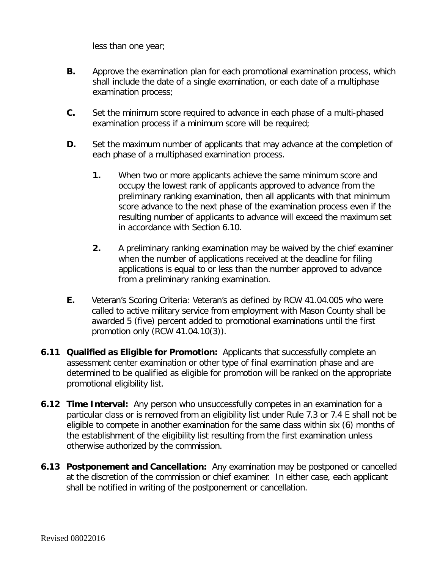less than one year;

- **B.** Approve the examination plan for each promotional examination process, which shall include the date of a single examination, or each date of a multiphase examination process;
- **C.** Set the minimum score required to advance in each phase of a multi-phased examination process if a minimum score will be required;
- **D.** Set the maximum number of applicants that may advance at the completion of each phase of a multiphased examination process.
	- **1.** When two or more applicants achieve the same minimum score and occupy the lowest rank of applicants approved to advance from the preliminary ranking examination, then all applicants with that minimum score advance to the next phase of the examination process even if the resulting number of applicants to advance will exceed the maximum set in accordance with Section 6.10.
	- **2.** A preliminary ranking examination may be waived by the chief examiner when the number of applications received at the deadline for filing applications is equal to or less than the number approved to advance from a preliminary ranking examination.
- **E.** Veteran's Scoring Criteria: Veteran's as defined by RCW 41.04.005 who were called to active military service from employment with Mason County shall be awarded 5 (five) percent added to promotional examinations until the first promotion only (RCW 41.04.10(3)).
- **6.11 Qualified as Eligible for Promotion:** Applicants that successfully complete an assessment center examination or other type of final examination phase and are determined to be qualified as eligible for promotion will be ranked on the appropriate promotional eligibility list.
- **6.12 Time Interval:** Any person who unsuccessfully competes in an examination for a particular class or is removed from an eligibility list under Rule 7.3 or 7.4 E shall not be eligible to compete in another examination for the same class within six (6) months of the establishment of the eligibility list resulting from the first examination unless otherwise authorized by the commission.
- **6.13 Postponement and Cancellation:** Any examination may be postponed or cancelled at the discretion of the commission or chief examiner. In either case, each applicant shall be notified in writing of the postponement or cancellation.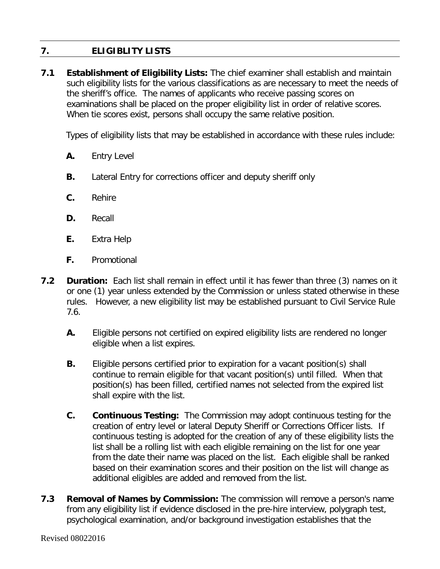# **7. ELIGIBLITY LISTS**

**7.1 Establishment of Eligibility Lists:** The chief examiner shall establish and maintain such eligibility lists for the various classifications as are necessary to meet the needs of the sheriff's office. The names of applicants who receive passing scores on examinations shall be placed on the proper eligibility list in order of relative scores. When tie scores exist, persons shall occupy the same relative position.

Types of eligibility lists that may be established in accordance with these rules include:

- **A.** Entry Level
- **B.** Lateral Entry for corrections officer and deputy sheriff only
- **C.** Rehire
- **D.** Recall
- **E.** Extra Help
- **F.** Promotional
- **7.2 Duration:** Each list shall remain in effect until it has fewer than three (3) names on it or one (1) year unless extended by the Commission or unless stated otherwise in these rules. However, a new eligibility list may be established pursuant to Civil Service Rule 7.6.
	- **A.** Eligible persons not certified on expired eligibility lists are rendered no longer eligible when a list expires.
	- **B.** Eligible persons certified prior to expiration for a vacant position(s) shall continue to remain eligible for that vacant position(s) until filled. When that position(s) has been filled, certified names not selected from the expired list shall expire with the list.
	- **C. Continuous Testing:** The Commission may adopt continuous testing for the creation of entry level or lateral Deputy Sheriff or Corrections Officer lists. If continuous testing is adopted for the creation of any of these eligibility lists the list shall be a rolling list with each eligible remaining on the list for one year from the date their name was placed on the list. Each eligible shall be ranked based on their examination scores and their position on the list will change as additional eligibles are added and removed from the list.
- **7.3 Removal of Names by Commission:** The commission will remove a person's name from any eligibility list if evidence disclosed in the pre-hire interview, polygraph test, psychological examination, and/or background investigation establishes that the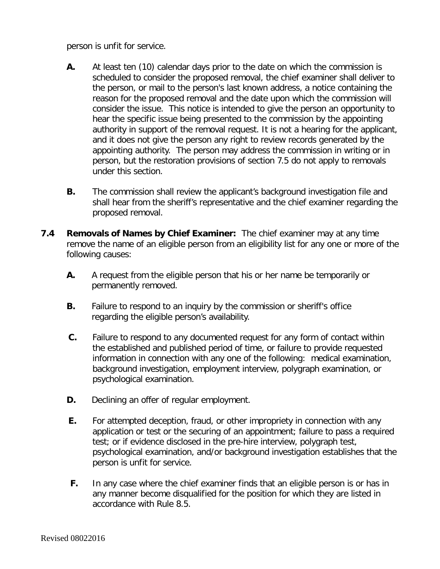person is unfit for service.

- **A.** At least ten (10) calendar days prior to the date on which the commission is scheduled to consider the proposed removal, the chief examiner shall deliver to the person, or mail to the person's last known address, a notice containing the reason for the proposed removal and the date upon which the commission will consider the issue. This notice is intended to give the person an opportunity to hear the specific issue being presented to the commission by the appointing authority in support of the removal request. It is not a hearing for the applicant, and it does not give the person any right to review records generated by the appointing authority. The person may address the commission in writing or in person, but the restoration provisions of section 7.5 do not apply to removals under this section.
- **B.** The commission shall review the applicant's background investigation file and shall hear from the sheriff's representative and the chief examiner regarding the proposed removal.
- **7.4 Removals of Names by Chief Examiner:** The chief examiner may at any time remove the name of an eligible person from an eligibility list for any one or more of the following causes:
	- **A.** A request from the eligible person that his or her name be temporarily or permanently removed.
	- **B.** Failure to respond to an inquiry by the commission or sheriff's office regarding the eligible person's availability.
	- **C.** Failure to respond to any documented request for any form of contact within the established and published period of time, or failure to provide requested information in connection with any one of the following: medical examination, background investigation, employment interview, polygraph examination, or psychological examination.
	- **D.** Declining an offer of regular employment.
	- **E.** For attempted deception, fraud, or other impropriety in connection with any application or test or the securing of an appointment; failure to pass a required test; or if evidence disclosed in the pre-hire interview, polygraph test, psychological examination, and/or background investigation establishes that the person is unfit for service.
	- **F.** In any case where the chief examiner finds that an eligible person is or has in any manner become disqualified for the position for which they are listed in accordance with Rule 8.5.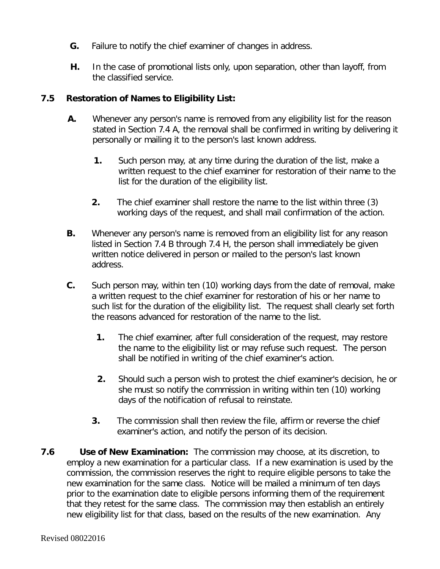- **G.** Failure to notify the chief examiner of changes in address.
- **H.** In the case of promotional lists only, upon separation, other than layoff, from the classified service.

## **7.5 Restoration of Names to Eligibility List:**

- **A.** Whenever any person's name is removed from any eligibility list for the reason stated in Section 7.4 A, the removal shall be confirmed in writing by delivering it personally or mailing it to the person's last known address.
	- **1.** Such person may, at any time during the duration of the list, make a written request to the chief examiner for restoration of their name to the list for the duration of the eligibility list.
	- **2.** The chief examiner shall restore the name to the list within three (3) working days of the request, and shall mail confirmation of the action.
- **B.** Whenever any person's name is removed from an eligibility list for any reason listed in Section 7.4 B through 7.4 H, the person shall immediately be given written notice delivered in person or mailed to the person's last known address.
- **C.** Such person may, within ten (10) working days from the date of removal, make a written request to the chief examiner for restoration of his or her name to such list for the duration of the eligibility list. The request shall clearly set forth the reasons advanced for restoration of the name to the list.
	- **1.** The chief examiner, after full consideration of the request, may restore the name to the eligibility list or may refuse such request. The person shall be notified in writing of the chief examiner's action.
	- **2.** Should such a person wish to protest the chief examiner's decision, he or she must so notify the commission in writing within ten (10) working days of the notification of refusal to reinstate.
	- **3.** The commission shall then review the file, affirm or reverse the chief examiner's action, and notify the person of its decision.
- **7.6 Use of New Examination:** The commission may choose, at its discretion, to employ a new examination for a particular class. If a new examination is used by the commission, the commission reserves the right to require eligible persons to take the new examination for the same class. Notice will be mailed a minimum of ten days prior to the examination date to eligible persons informing them of the requirement that they retest for the same class. The commission may then establish an entirely new eligibility list for that class, based on the results of the new examination. Any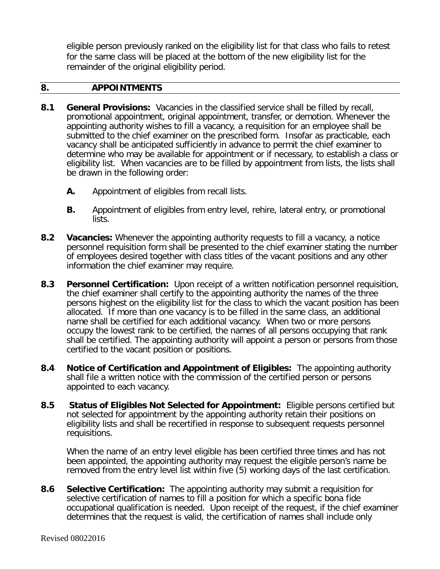eligible person previously ranked on the eligibility list for that class who fails to retest for the same class will be placed at the bottom of the new eligibility list for the remainder of the original eligibility period.

#### **8. APPOINTMENTS**

- **8.1 General Provisions:** Vacancies in the classified service shall be filled by recall, promotional appointment, original appointment, transfer, or demotion. Whenever the appointing authority wishes to fill a vacancy, a requisition for an employee shall be submitted to the chief examiner on the prescribed form. Insofar as practicable, each vacancy shall be anticipated sufficiently in advance to permit the chief examiner to determine who may be available for appointment or if necessary, to establish a class or eligibility list. When vacancies are to be filled by appointment from lists, the lists shall be drawn in the following order:
	- **A.** Appointment of eligibles from recall lists.
	- **B.** Appointment of eligibles from entry level, rehire, lateral entry, or promotional lists.
- **8.2 Vacancies:** Whenever the appointing authority requests to fill a vacancy, a notice personnel requisition form shall be presented to the chief examiner stating the number of employees desired together with class titles of the vacant positions and any other information the chief examiner may require.
- **8.3 Personnel Certification:** Upon receipt of a written notification personnel requisition, the chief examiner shall certify to the appointing authority the names of the three persons highest on the eligibility list for the class to which the vacant position has been allocated. If more than one vacancy is to be filled in the same class, an additional name shall be certified for each additional vacancy. When two or more persons occupy the lowest rank to be certified, the names of all persons occupying that rank shall be certified. The appointing authority will appoint a person or persons from those certified to the vacant position or positions.
- **8.4 Notice of Certification and Appointment of Eligibles:** The appointing authority shall file a written notice with the commission of the certified person or persons appointed to each vacancy.
- **8.5 Status of Eligibles Not Selected for Appointment:** Eligible persons certified but not selected for appointment by the appointing authority retain their positions on eligibility lists and shall be recertified in response to subsequent requests personnel requisitions.

When the name of an entry level eligible has been certified three times and has not been appointed, the appointing authority may request the eligible person's name be removed from the entry level list within five (5) working days of the last certification.

**8.6 Selective Certification:** The appointing authority may submit a requisition for selective certification of names to fill a position for which a specific bona fide occupational qualification is needed. Upon receipt of the request, if the chief examiner determines that the request is valid, the certification of names shall include only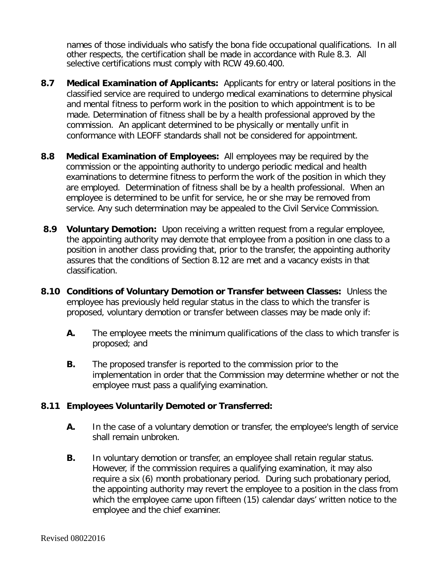names of those individuals who satisfy the bona fide occupational qualifications. In all other respects, the certification shall be made in accordance with Rule 8.3. All selective certifications must comply with RCW 49.60.400.

- **8.7 Medical Examination of Applicants:** Applicants for entry or lateral positions in the classified service are required to undergo medical examinations to determine physical and mental fitness to perform work in the position to which appointment is to be made. Determination of fitness shall be by a health professional approved by the commission. An applicant determined to be physically or mentally unfit in conformance with LEOFF standards shall not be considered for appointment.
- **8.8 Medical Examination of Employees:** All employees may be required by the commission or the appointing authority to undergo periodic medical and health examinations to determine fitness to perform the work of the position in which they are employed. Determination of fitness shall be by a health professional. When an employee is determined to be unfit for service, he or she may be removed from service. Any such determination may be appealed to the Civil Service Commission.
- **8.9 Voluntary Demotion:** Upon receiving a written request from a regular employee, the appointing authority may demote that employee from a position in one class to a position in another class providing that, prior to the transfer, the appointing authority assures that the conditions of Section 8.12 are met and a vacancy exists in that classification.
- **8.10 Conditions of Voluntary Demotion or Transfer between Classes:** Unless the employee has previously held regular status in the class to which the transfer is proposed, voluntary demotion or transfer between classes may be made only if:
	- **A.** The employee meets the minimum qualifications of the class to which transfer is proposed; and
	- **B.** The proposed transfer is reported to the commission prior to the implementation in order that the Commission may determine whether or not the employee must pass a qualifying examination.

#### **8.11 Employees Voluntarily Demoted or Transferred:**

- **A.** In the case of a voluntary demotion or transfer, the employee's length of service shall remain unbroken.
- **B.** In voluntary demotion or transfer, an employee shall retain regular status. However, if the commission requires a qualifying examination, it may also require a six (6) month probationary period. During such probationary period, the appointing authority may revert the employee to a position in the class from which the employee came upon fifteen (15) calendar days' written notice to the employee and the chief examiner.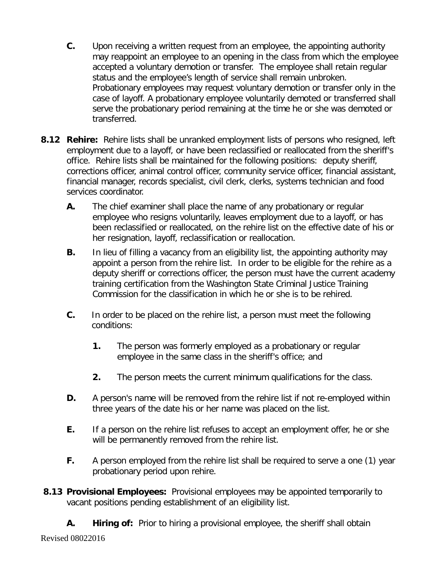- **C.** Upon receiving a written request from an employee, the appointing authority may reappoint an employee to an opening in the class from which the employee accepted a voluntary demotion or transfer. The employee shall retain regular status and the employee's length of service shall remain unbroken. Probationary employees may request voluntary demotion or transfer only in the case of layoff. A probationary employee voluntarily demoted or transferred shall serve the probationary period remaining at the time he or she was demoted or transferred.
- **8.12 Rehire:** Rehire lists shall be unranked employment lists of persons who resigned, left employment due to a layoff, or have been reclassified or reallocated from the sheriff's office. Rehire lists shall be maintained for the following positions: deputy sheriff, corrections officer, animal control officer, community service officer, financial assistant, financial manager, records specialist, civil clerk, clerks, systems technician and food services coordinator.
	- **A.** The chief examiner shall place the name of any probationary or regular employee who resigns voluntarily, leaves employment due to a layoff, or has been reclassified or reallocated, on the rehire list on the effective date of his or her resignation, layoff, reclassification or reallocation.
	- **B.** In lieu of filling a vacancy from an eligibility list, the appointing authority may appoint a person from the rehire list. In order to be eligible for the rehire as a deputy sheriff or corrections officer, the person must have the current academy training certification from the Washington State Criminal Justice Training Commission for the classification in which he or she is to be rehired.
	- **C.** In order to be placed on the rehire list, a person must meet the following conditions:
		- **1.** The person was formerly employed as a probationary or regular employee in the same class in the sheriff's office; and
		- **2.** The person meets the current minimum qualifications for the class.
	- **D.** A person's name will be removed from the rehire list if not re-employed within three years of the date his or her name was placed on the list.
	- **E.** If a person on the rehire list refuses to accept an employment offer, he or she will be permanently removed from the rehire list.
	- **F.** A person employed from the rehire list shall be required to serve a one (1) year probationary period upon rehire.
- **8.13 Provisional Employees:** Provisional employees may be appointed temporarily to vacant positions pending establishment of an eligibility list.
	- **A. Hiring of:** Prior to hiring a provisional employee, the sheriff shall obtain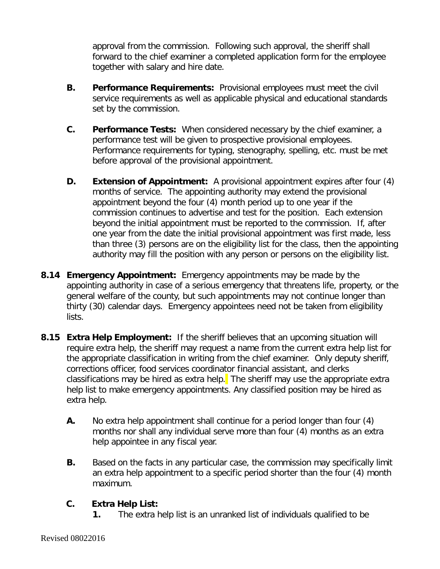approval from the commission. Following such approval, the sheriff shall forward to the chief examiner a completed application form for the employee together with salary and hire date.

- **B. Performance Requirements:** Provisional employees must meet the civil service requirements as well as applicable physical and educational standards set by the commission.
- **C. Performance Tests:** When considered necessary by the chief examiner, a performance test will be given to prospective provisional employees. Performance requirements for typing, stenography, spelling, etc. must be met before approval of the provisional appointment.
- **D. Extension of Appointment:** A provisional appointment expires after four (4) months of service. The appointing authority may extend the provisional appointment beyond the four (4) month period up to one year if the commission continues to advertise and test for the position. Each extension beyond the initial appointment must be reported to the commission. If, after one year from the date the initial provisional appointment was first made, less than three (3) persons are on the eligibility list for the class, then the appointing authority may fill the position with any person or persons on the eligibility list.
- **8.14 Emergency Appointment:** Emergency appointments may be made by the appointing authority in case of a serious emergency that threatens life, property, or the general welfare of the county, but such appointments may not continue longer than thirty (30) calendar days. Emergency appointees need not be taken from eligibility lists.
- **8.15 Extra Help Employment:** If the sheriff believes that an upcoming situation will require extra help, the sheriff may request a name from the current extra help list for the appropriate classification in writing from the chief examiner. Only deputy sheriff, corrections officer, food services coordinator financial assistant, and clerks classifications may be hired as extra help. The sheriff may use the appropriate extra help list to make emergency appointments. Any classified position may be hired as extra help.
	- **A.** No extra help appointment shall continue for a period longer than four (4) months nor shall any individual serve more than four (4) months as an extra help appointee in any fiscal year.
	- **B.** Based on the facts in any particular case, the commission may specifically limit an extra help appointment to a specific period shorter than the four (4) month maximum.

# **C. Extra Help List:**

**1.** The extra help list is an unranked list of individuals qualified to be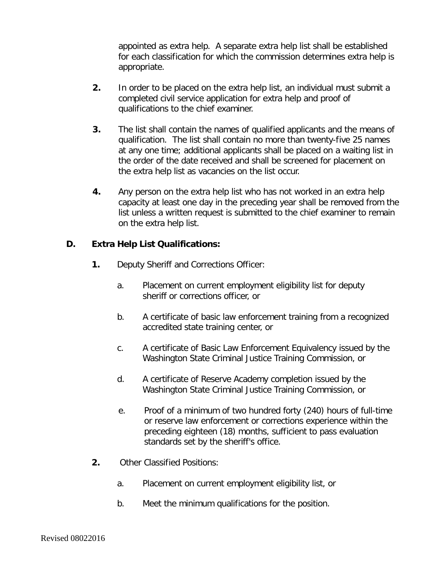appointed as extra help. A separate extra help list shall be established for each classification for which the commission determines extra help is appropriate.

- **2.** In order to be placed on the extra help list, an individual must submit a completed civil service application for extra help and proof of qualifications to the chief examiner.
- **3.** The list shall contain the names of qualified applicants and the means of qualification. The list shall contain no more than twenty-five 25 names at any one time; additional applicants shall be placed on a waiting list in the order of the date received and shall be screened for placement on the extra help list as vacancies on the list occur.
- **4.** Any person on the extra help list who has not worked in an extra help capacity at least one day in the preceding year shall be removed from the list unless a written request is submitted to the chief examiner to remain on the extra help list.

## **D. Extra Help List Qualifications:**

- **1.** Deputy Sheriff and Corrections Officer:
	- a. Placement on current employment eligibility list for deputy sheriff or corrections officer, or
	- b. A certificate of basic law enforcement training from a recognized accredited state training center, or
	- c. A certificate of Basic Law Enforcement Equivalency issued by the Washington State Criminal Justice Training Commission, or
	- d. A certificate of Reserve Academy completion issued by the Washington State Criminal Justice Training Commission, or
	- e. Proof of a minimum of two hundred forty (240) hours of full-time or reserve law enforcement or corrections experience within the preceding eighteen (18) months, sufficient to pass evaluation standards set by the sheriff's office.
- **2.** Other Classified Positions:
	- a. Placement on current employment eligibility list, or
	- b. Meet the minimum qualifications for the position.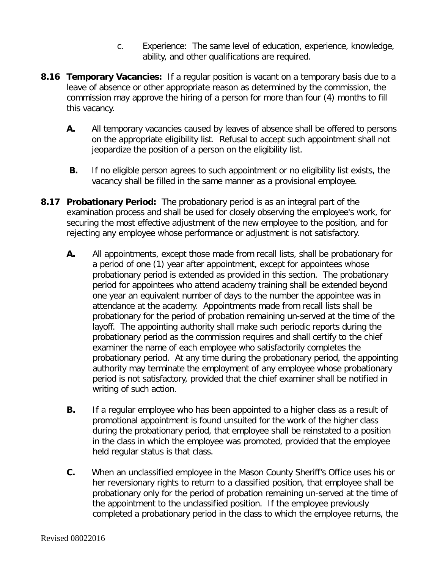- c. Experience: The same level of education, experience, knowledge, ability, and other qualifications are required.
- **8.16 Temporary Vacancies:** If a regular position is vacant on a temporary basis due to a leave of absence or other appropriate reason as determined by the commission, the commission may approve the hiring of a person for more than four (4) months to fill this vacancy.
	- **A.** All temporary vacancies caused by leaves of absence shall be offered to persons on the appropriate eligibility list. Refusal to accept such appointment shall not jeopardize the position of a person on the eligibility list.
	- **B.** If no eligible person agrees to such appointment or no eligibility list exists, the vacancy shall be filled in the same manner as a provisional employee.
- **8.17 Probationary Period:** The probationary period is as an integral part of the examination process and shall be used for closely observing the employee's work, for securing the most effective adjustment of the new employee to the position, and for rejecting any employee whose performance or adjustment is not satisfactory.
	- **A.** All appointments, except those made from recall lists, shall be probationary for a period of one (1) year after appointment, except for appointees whose probationary period is extended as provided in this section. The probationary period for appointees who attend academy training shall be extended beyond one year an equivalent number of days to the number the appointee was in attendance at the academy. Appointments made from recall lists shall be probationary for the period of probation remaining un-served at the time of the layoff. The appointing authority shall make such periodic reports during the probationary period as the commission requires and shall certify to the chief examiner the name of each employee who satisfactorily completes the probationary period. At any time during the probationary period, the appointing authority may terminate the employment of any employee whose probationary period is not satisfactory, provided that the chief examiner shall be notified in writing of such action.
	- **B.** If a regular employee who has been appointed to a higher class as a result of promotional appointment is found unsuited for the work of the higher class during the probationary period, that employee shall be reinstated to a position in the class in which the employee was promoted, provided that the employee held regular status is that class.
	- **C.** When an unclassified employee in the Mason County Sheriff's Office uses his or her reversionary rights to return to a classified position, that employee shall be probationary only for the period of probation remaining un-served at the time of the appointment to the unclassified position. If the employee previously completed a probationary period in the class to which the employee returns, the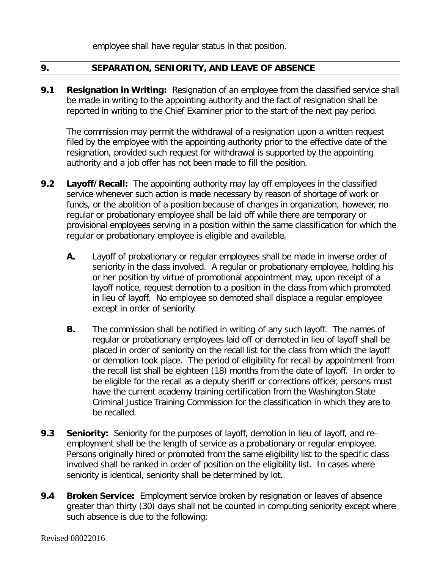employee shall have regular status in that position.

### **9. SEPARATION, SENIORITY, AND LEAVE OF ABSENCE**

**9.1 Resignation in Writing:** Resignation of an employee from the classified service shall be made in writing to the appointing authority and the fact of resignation shall be reported in writing to the Chief Examiner prior to the start of the next pay period.

The commission may permit the withdrawal of a resignation upon a written request filed by the employee with the appointing authority prior to the effective date of the resignation, provided such request for withdrawal is supported by the appointing authority and a job offer has not been made to fill the position.

- **9.2 Layoff/Recall:** The appointing authority may lay off employees in the classified service whenever such action is made necessary by reason of shortage of work or funds, or the abolition of a position because of changes in organization; however, no regular or probationary employee shall be laid off while there are temporary or provisional employees serving in a position within the same classification for which the regular or probationary employee is eligible and available.
	- **A.** Layoff of probationary or regular employees shall be made in inverse order of seniority in the class involved. A regular or probationary employee, holding his or her position by virtue of promotional appointment may, upon receipt of a layoff notice, request demotion to a position in the class from which promoted in lieu of layoff. No employee so demoted shall displace a regular employee except in order of seniority.
	- **B.** The commission shall be notified in writing of any such layoff. The names of regular or probationary employees laid off or demoted in lieu of layoff shall be placed in order of seniority on the recall list for the class from which the layoff or demotion took place. The period of eligibility for recall by appointment from the recall list shall be eighteen (18) months from the date of layoff. In order to be eligible for the recall as a deputy sheriff or corrections officer, persons must have the current academy training certification from the Washington State Criminal Justice Training Commission for the classification in which they are to be recalled.
- **9.3 Seniority:** Seniority for the purposes of layoff, demotion in lieu of layoff, and reemployment shall be the length of service as a probationary or regular employee. Persons originally hired or promoted from the same eligibility list to the specific class involved shall be ranked in order of position on the eligibility list. In cases where seniority is identical, seniority shall be determined by lot.
- **9.4 Broken Service:** Employment service broken by resignation or leaves of absence greater than thirty (30) days shall not be counted in computing seniority except where such absence is due to the following: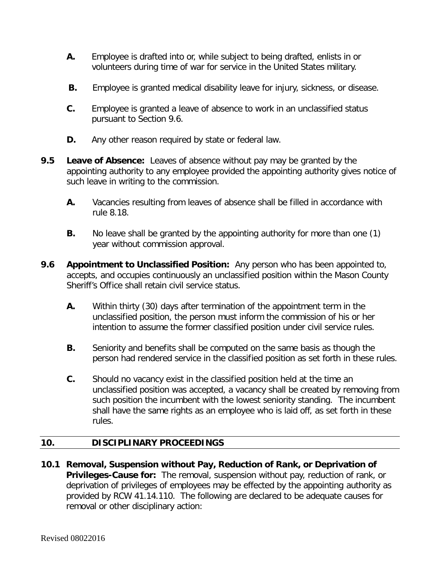- **A.** Employee is drafted into or, while subject to being drafted, enlists in or volunteers during time of war for service in the United States military.
- **B.** Employee is granted medical disability leave for injury, sickness, or disease.
- **C.** Employee is granted a leave of absence to work in an unclassified status pursuant to Section 9.6.
- **D.** Any other reason required by state or federal law.
- **9.5 Leave of Absence:** Leaves of absence without pay may be granted by the appointing authority to any employee provided the appointing authority gives notice of such leave in writing to the commission.
	- **A.** Vacancies resulting from leaves of absence shall be filled in accordance with rule 8.18.
	- **B.** No leave shall be granted by the appointing authority for more than one (1) year without commission approval.
- **9.6 Appointment to Unclassified Position:** Any person who has been appointed to, accepts, and occupies continuously an unclassified position within the Mason County Sheriff's Office shall retain civil service status.
	- **A.** Within thirty (30) days after termination of the appointment term in the unclassified position, the person must inform the commission of his or her intention to assume the former classified position under civil service rules.
	- **B.** Seniority and benefits shall be computed on the same basis as though the person had rendered service in the classified position as set forth in these rules.
	- **C.** Should no vacancy exist in the classified position held at the time an unclassified position was accepted, a vacancy shall be created by removing from such position the incumbent with the lowest seniority standing. The incumbent shall have the same rights as an employee who is laid off, as set forth in these rules.

## **10. DISCIPLINARY PROCEEDINGS**

**10.1 Removal, Suspension without Pay, Reduction of Rank, or Deprivation of Privileges-Cause for:** The removal, suspension without pay, reduction of rank, or deprivation of privileges of employees may be effected by the appointing authority as provided by RCW 41.14.110. The following are declared to be adequate causes for removal or other disciplinary action: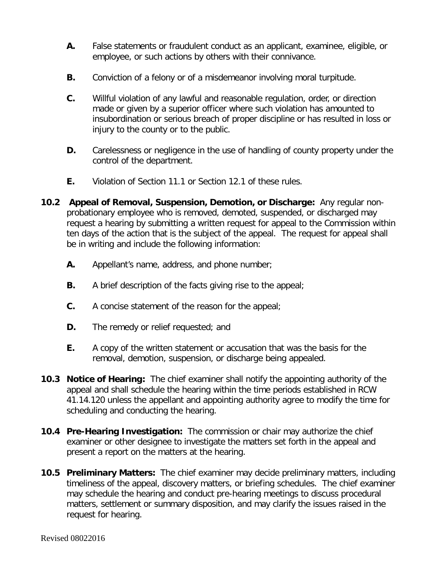- **A.** False statements or fraudulent conduct as an applicant, examinee, eligible, or employee, or such actions by others with their connivance.
- **B.** Conviction of a felony or of a misdemeanor involving moral turpitude.
- **C.** Willful violation of any lawful and reasonable regulation, order, or direction made or given by a superior officer where such violation has amounted to insubordination or serious breach of proper discipline or has resulted in loss or injury to the county or to the public.
- **D.** Carelessness or negligence in the use of handling of county property under the control of the department.
- **E.** Violation of Section 11.1 or Section 12.1 of these rules.
- **10.2 Appeal of Removal, Suspension, Demotion, or Discharge:** Any regular nonprobationary employee who is removed, demoted, suspended, or discharged may request a hearing by submitting a written request for appeal to the Commission within ten days of the action that is the subject of the appeal. The request for appeal shall be in writing and include the following information:
	- **A.** Appellant's name, address, and phone number;
	- **B.** A brief description of the facts giving rise to the appeal;
	- **C.** A concise statement of the reason for the appeal;
	- **D.** The remedy or relief requested; and
	- **E.** A copy of the written statement or accusation that was the basis for the removal, demotion, suspension, or discharge being appealed.
- **10.3 Notice of Hearing:** The chief examiner shall notify the appointing authority of the appeal and shall schedule the hearing within the time periods established in RCW 41.14.120 unless the appellant and appointing authority agree to modify the time for scheduling and conducting the hearing.
- **10.4 Pre-Hearing Investigation:** The commission or chair may authorize the chief examiner or other designee to investigate the matters set forth in the appeal and present a report on the matters at the hearing.
- **10.5 Preliminary Matters:** The chief examiner may decide preliminary matters, including timeliness of the appeal, discovery matters, or briefing schedules. The chief examiner may schedule the hearing and conduct pre-hearing meetings to discuss procedural matters, settlement or summary disposition, and may clarify the issues raised in the request for hearing.